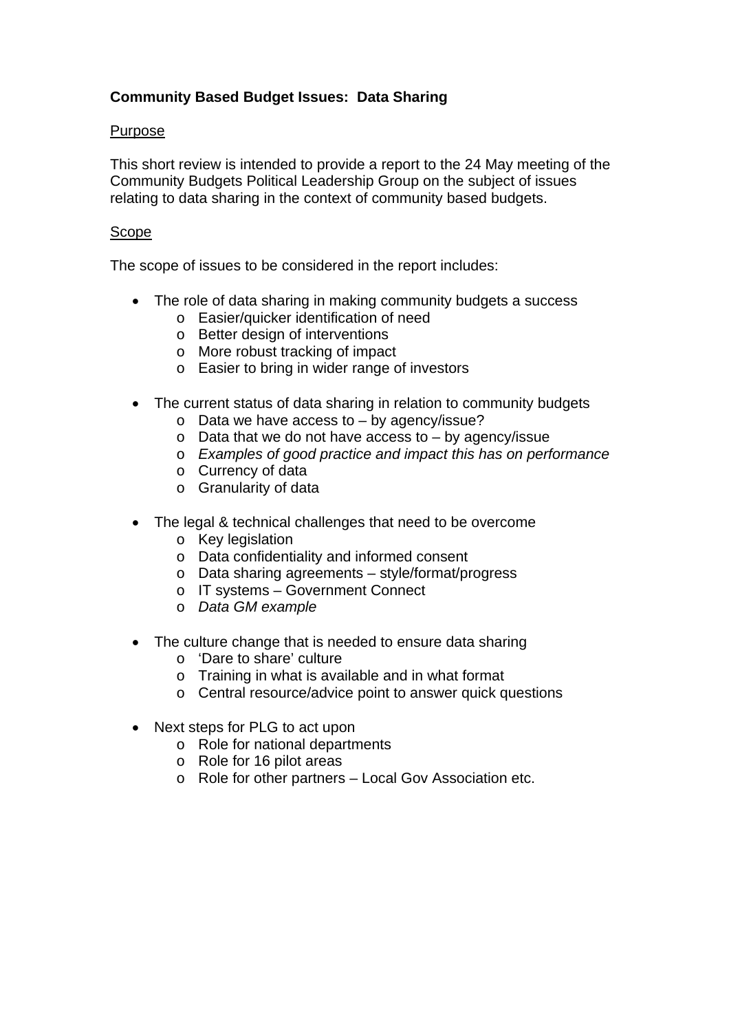# **Community Based Budget Issues: Data Sharing**

### Purpose

This short review is intended to provide a report to the 24 May meeting of the Community Budgets Political Leadership Group on the subject of issues relating to data sharing in the context of community based budgets.

#### Scope

The scope of issues to be considered in the report includes:

- The role of data sharing in making community budgets a success
	- o Easier/quicker identification of need
	- o Better design of interventions
	- o More robust tracking of impact
	- o Easier to bring in wider range of investors
- The current status of data sharing in relation to community budgets
	- o Data we have access to by agency/issue?
	- $\circ$  Data that we do not have access to by agency/issue
	- o *Examples of good practice and impact this has on performance*
	- o Currency of data
	- o Granularity of data
- The legal & technical challenges that need to be overcome
	- o Key legislation
	- o Data confidentiality and informed consent
	- o Data sharing agreements style/format/progress
	- o IT systems Government Connect
	- o *Data GM example*
- The culture change that is needed to ensure data sharing
	- o 'Dare to share' culture
	- o Training in what is available and in what format
	- o Central resource/advice point to answer quick questions
- Next steps for PLG to act upon
	- o Role for national departments
	- o Role for 16 pilot areas
	- o Role for other partners Local Gov Association etc.